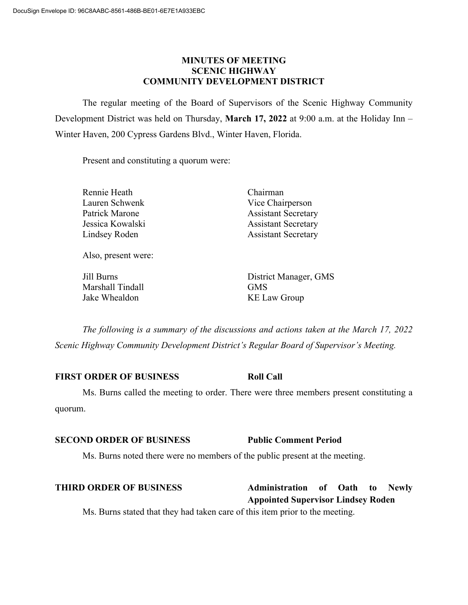### **MINUTES OF MEETING SCENIC HIGHWAY COMMUNITY DEVELOPMENT DISTRICT**

The regular meeting of the Board of Supervisors of the Scenic Highway Community Development District was held on Thursday, **March 17, 2022** at 9:00 a.m. at the Holiday Inn – Winter Haven, 200 Cypress Gardens Blvd., Winter Haven, Florida.

Present and constituting a quorum were:

| Rennie Heath     | Chairman                   |  |  |
|------------------|----------------------------|--|--|
| Lauren Schwenk   | Vice Chairperson           |  |  |
| Patrick Marone   | <b>Assistant Secretary</b> |  |  |
| Jessica Kowalski | <b>Assistant Secretary</b> |  |  |
| Lindsey Roden    | <b>Assistant Secretary</b> |  |  |
|                  |                            |  |  |
|                  |                            |  |  |

Also, present were:

Marshall Tindall GMS Jake Whealdon KE Law Group

Jill Burns District Manager, GMS

*The following is a summary of the discussions and actions taken at the March 17, 2022 Scenic Highway Community Development District's Regular Board of Supervisor's Meeting.*

### **FIRST ORDER OF BUSINESS Roll Call**

Ms. Burns called the meeting to order. There were three members present constituting a quorum.

### **SECOND ORDER OF BUSINESS Public Comment Period**

Ms. Burns noted there were no members of the public present at the meeting.

| <b>THIRD ORDER OF BUSINESS</b>                                               | <b>Administration</b> of Oath |  |  | to | <b>Newly</b> |  |
|------------------------------------------------------------------------------|-------------------------------|--|--|----|--------------|--|
| <b>Appointed Supervisor Lindsey Roden</b>                                    |                               |  |  |    |              |  |
| Ms. Burns stated that they had taken care of this item prior to the meeting. |                               |  |  |    |              |  |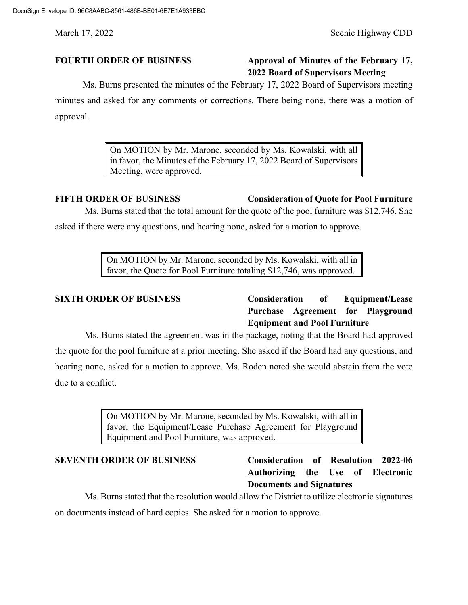# **FOURTH ORDER OF BUSINESS Approval of Minutes of the February 17, 2022 Board of Supervisors Meeting**

Ms. Burns presented the minutes of the February 17, 2022 Board of Supervisors meeting

minutes and asked for any comments or corrections. There being none, there was a motion of approval.

> On MOTION by Mr. Marone, seconded by Ms. Kowalski, with all in favor, the Minutes of the February 17, 2022 Board of Supervisors Meeting, were approved.

# **FIFTH ORDER OF BUSINESS Consideration of Quote for Pool Furniture**

Ms. Burns stated that the total amount for the quote of the pool furniture was \$12,746. She asked if there were any questions, and hearing none, asked for a motion to approve.

> On MOTION by Mr. Marone, seconded by Ms. Kowalski, with all in favor, the Quote for Pool Furniture totaling \$12,746, was approved.

**SIXTH ORDER OF BUSINESS Consideration of Equipment/Lease Purchase Agreement for Playground Equipment and Pool Furniture**

Ms. Burns stated the agreement was in the package, noting that the Board had approved the quote for the pool furniture at a prior meeting. She asked if the Board had any questions, and hearing none, asked for a motion to approve. Ms. Roden noted she would abstain from the vote due to a conflict.

> On MOTION by Mr. Marone, seconded by Ms. Kowalski, with all in favor, the Equipment/Lease Purchase Agreement for Playground Equipment and Pool Furniture, was approved.

# **SEVENTH ORDER OF BUSINESS Consideration of Resolution 2022-06 Authorizing the Use of Electronic Documents and Signatures**

Ms. Burns stated that the resolution would allow the District to utilize electronic signatures on documents instead of hard copies. She asked for a motion to approve.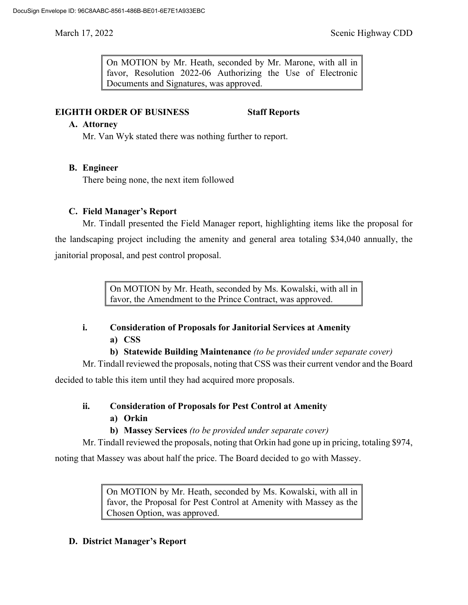On MOTION by Mr. Heath, seconded by Mr. Marone, with all in favor, Resolution 2022-06 Authorizing the Use of Electronic Documents and Signatures, was approved.

# **EIGHTH ORDER OF BUSINESS Staff Reports**

### **A. Attorney**

Mr. Van Wyk stated there was nothing further to report.

# **B. Engineer**

There being none, the next item followed

# **C. Field Manager's Report**

Mr. Tindall presented the Field Manager report, highlighting items like the proposal for the landscaping project including the amenity and general area totaling \$34,040 annually, the janitorial proposal, and pest control proposal.

> On MOTION by Mr. Heath, seconded by Ms. Kowalski, with all in favor, the Amendment to the Prince Contract, was approved.

# **i. Consideration of Proposals for Janitorial Services at Amenity a) CSS**

**b) Statewide Building Maintenance** *(to be provided under separate cover)*

Mr. Tindall reviewed the proposals, noting that CSS was their current vendor and the Board

decided to table this item until they had acquired more proposals.

- **ii. Consideration of Proposals for Pest Control at Amenity**
	- **a) Orkin**
	- **b) Massey Services** *(to be provided under separate cover)*

Mr. Tindall reviewed the proposals, noting that Orkin had gone up in pricing, totaling \$974,

noting that Massey was about half the price. The Board decided to go with Massey.

On MOTION by Mr. Heath, seconded by Ms. Kowalski, with all in favor, the Proposal for Pest Control at Amenity with Massey as the Chosen Option, was approved.

# **D. District Manager's Report**